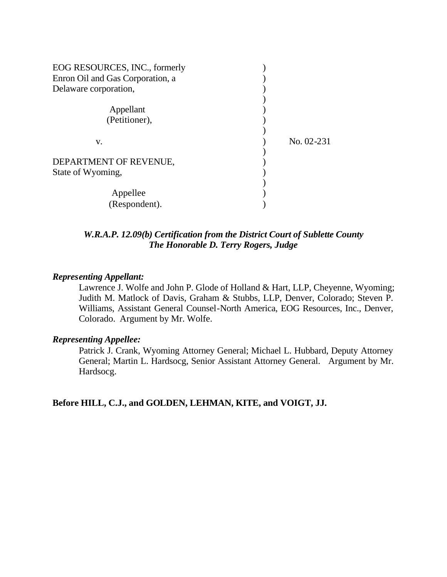| EOG RESOURCES, INC., formerly<br>Enron Oil and Gas Corporation, a |              |
|-------------------------------------------------------------------|--------------|
| Delaware corporation,                                             |              |
| Appellant<br>(Petitioner),                                        |              |
| v.                                                                | $No. 02-231$ |
| DEPARTMENT OF REVENUE,                                            |              |
| State of Wyoming,                                                 |              |
| Appellee                                                          |              |
| (Respondent).                                                     |              |

### *W.R.A.P. 12.09(b) Certification from the District Court of Sublette County The Honorable D. Terry Rogers, Judge*

#### *Representing Appellant:*

Lawrence J. Wolfe and John P. Glode of Holland & Hart, LLP, Cheyenne, Wyoming; Judith M. Matlock of Davis, Graham & Stubbs, LLP, Denver, Colorado; Steven P. Williams, Assistant General Counsel-North America, EOG Resources, Inc., Denver, Colorado. Argument by Mr. Wolfe.

#### *Representing Appellee:*

Patrick J. Crank, Wyoming Attorney General; Michael L. Hubbard, Deputy Attorney General; Martin L. Hardsocg, Senior Assistant Attorney General. Argument by Mr. Hardsocg.

**Before HILL, C.J., and GOLDEN, LEHMAN, KITE, and VOIGT, JJ.**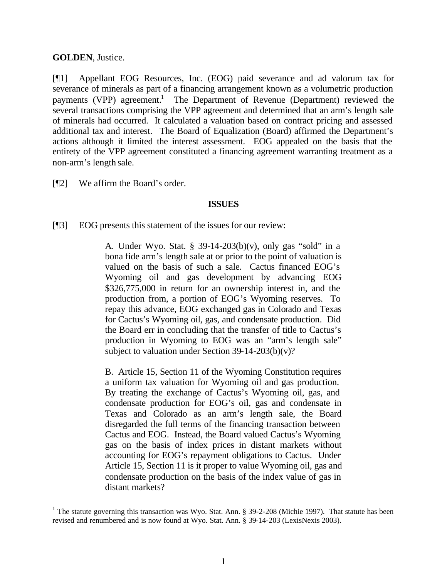### **GOLDEN**, Justice.

l

[¶1] Appellant EOG Resources, Inc. (EOG) paid severance and ad valorum tax for severance of minerals as part of a financing arrangement known as a volumetric production payments (VPP) agreement.<sup>1</sup> The Department of Revenue (Department) reviewed the several transactions comprising the VPP agreement and determined that an arm's length sale of minerals had occurred. It calculated a valuation based on contract pricing and assessed additional tax and interest. The Board of Equalization (Board) affirmed the Department's actions although it limited the interest assessment. EOG appealed on the basis that the entirety of the VPP agreement constituted a financing agreement warranting treatment as a non-arm's length sale.

[¶2] We affirm the Board's order.

#### **ISSUES**

[¶3] EOG presents this statement of the issues for our review:

A. Under Wyo. Stat. § 39-14-203(b)(v), only gas "sold" in a bona fide arm's length sale at or prior to the point of valuation is valued on the basis of such a sale. Cactus financed EOG's Wyoming oil and gas development by advancing EOG \$326,775,000 in return for an ownership interest in, and the production from, a portion of EOG's Wyoming reserves. To repay this advance, EOG exchanged gas in Colorado and Texas for Cactus's Wyoming oil, gas, and condensate production. Did the Board err in concluding that the transfer of title to Cactus's production in Wyoming to EOG was an "arm's length sale" subject to valuation under Section 39-14-203(b)(v)?

B. Article 15, Section 11 of the Wyoming Constitution requires a uniform tax valuation for Wyoming oil and gas production. By treating the exchange of Cactus's Wyoming oil, gas, and condensate production for EOG's oil, gas and condensate in Texas and Colorado as an arm's length sale, the Board disregarded the full terms of the financing transaction between Cactus and EOG. Instead, the Board valued Cactus's Wyoming gas on the basis of index prices in distant markets without accounting for EOG's repayment obligations to Cactus. Under Article 15, Section 11 is it proper to value Wyoming oil, gas and condensate production on the basis of the index value of gas in distant markets?

<sup>&</sup>lt;sup>1</sup> The statute governing this transaction was Wyo. Stat. Ann. § 39-2-208 (Michie 1997). That statute has been revised and renumbered and is now found at Wyo. Stat. Ann. § 39-14-203 (LexisNexis 2003).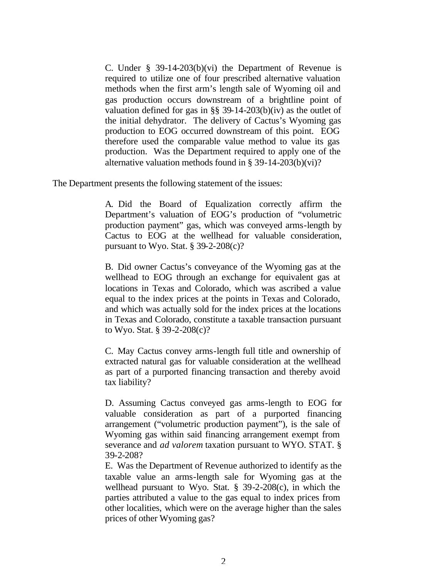C. Under § 39-14-203(b)(vi) the Department of Revenue is required to utilize one of four prescribed alternative valuation methods when the first arm's length sale of Wyoming oil and gas production occurs downstream of a brightline point of valuation defined for gas in §§ 39-14-203(b)(iv) as the outlet of the initial dehydrator. The delivery of Cactus's Wyoming gas production to EOG occurred downstream of this point. EOG therefore used the comparable value method to value its gas production. Was the Department required to apply one of the alternative valuation methods found in § 39-14-203(b)(vi)?

The Department presents the following statement of the issues:

A. Did the Board of Equalization correctly affirm the Department's valuation of EOG's production of "volumetric production payment" gas, which was conveyed arms-length by Cactus to EOG at the wellhead for valuable consideration, pursuant to Wyo. Stat.  $\S$  39-2-208(c)?

B. Did owner Cactus's conveyance of the Wyoming gas at the wellhead to EOG through an exchange for equivalent gas at locations in Texas and Colorado, which was ascribed a value equal to the index prices at the points in Texas and Colorado, and which was actually sold for the index prices at the locations in Texas and Colorado, constitute a taxable transaction pursuant to Wyo. Stat. § 39-2-208(c)?

C. May Cactus convey arms-length full title and ownership of extracted natural gas for valuable consideration at the wellhead as part of a purported financing transaction and thereby avoid tax liability?

D. Assuming Cactus conveyed gas arms-length to EOG for valuable consideration as part of a purported financing arrangement ("volumetric production payment"), is the sale of Wyoming gas within said financing arrangement exempt from severance and *ad valorem* taxation pursuant to WYO. STAT. § 39-2-208?

E. Was the Department of Revenue authorized to identify as the taxable value an arms-length sale for Wyoming gas at the wellhead pursuant to Wyo. Stat. § 39-2-208(c), in which the parties attributed a value to the gas equal to index prices from other localities, which were on the average higher than the sales prices of other Wyoming gas?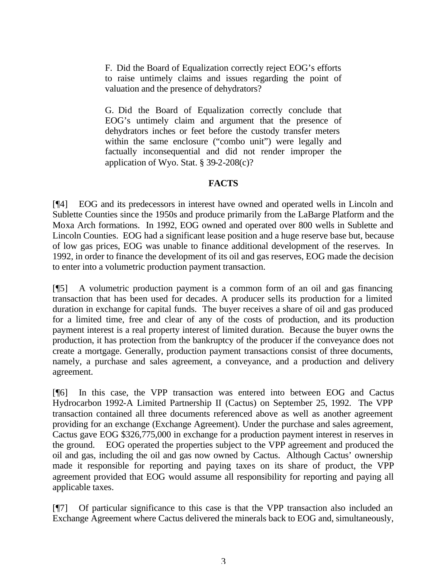F. Did the Board of Equalization correctly reject EOG's efforts to raise untimely claims and issues regarding the point of valuation and the presence of dehydrators?

G. Did the Board of Equalization correctly conclude that EOG's untimely claim and argument that the presence of dehydrators inches or feet before the custody transfer meters within the same enclosure ("combo unit") were legally and factually inconsequential and did not render improper the application of Wyo. Stat.  $\S$  39-2-208(c)?

# **FACTS**

[¶4] EOG and its predecessors in interest have owned and operated wells in Lincoln and Sublette Counties since the 1950s and produce primarily from the LaBarge Platform and the Moxa Arch formations. In 1992, EOG owned and operated over 800 wells in Sublette and Lincoln Counties. EOG had a significant lease position and a huge reserve base but, because of low gas prices, EOG was unable to finance additional development of the reserves. In 1992, in order to finance the development of its oil and gas reserves, EOG made the decision to enter into a volumetric production payment transaction.

[¶5] A volumetric production payment is a common form of an oil and gas financing transaction that has been used for decades. A producer sells its production for a limited duration in exchange for capital funds. The buyer receives a share of oil and gas produced for a limited time, free and clear of any of the costs of production, and its production payment interest is a real property interest of limited duration. Because the buyer owns the production, it has protection from the bankruptcy of the producer if the conveyance does not create a mortgage. Generally, production payment transactions consist of three documents, namely, a purchase and sales agreement, a conveyance, and a production and delivery agreement.

[¶6] In this case, the VPP transaction was entered into between EOG and Cactus Hydrocarbon 1992-A Limited Partnership II (Cactus) on September 25, 1992. The VPP transaction contained all three documents referenced above as well as another agreement providing for an exchange (Exchange Agreement). Under the purchase and sales agreement, Cactus gave EOG \$326,775,000 in exchange for a production payment interest in reserves in the ground. EOG operated the properties subject to the VPP agreement and produced the oil and gas, including the oil and gas now owned by Cactus. Although Cactus' ownership made it responsible for reporting and paying taxes on its share of product, the VPP agreement provided that EOG would assume all responsibility for reporting and paying all applicable taxes.

[¶7] Of particular significance to this case is that the VPP transaction also included an Exchange Agreement where Cactus delivered the minerals back to EOG and, simultaneously,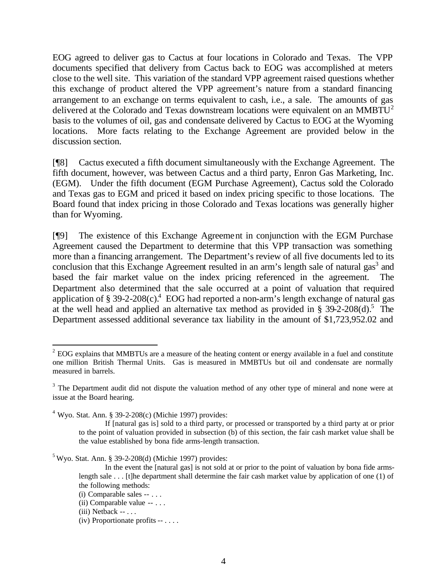EOG agreed to deliver gas to Cactus at four locations in Colorado and Texas. The VPP documents specified that delivery from Cactus back to EOG was accomplished at meters close to the well site. This variation of the standard VPP agreement raised questions whether this exchange of product altered the VPP agreement's nature from a standard financing arrangement to an exchange on terms equivalent to cash, i.e., a sale. The amounts of gas delivered at the Colorado and Texas downstream locations were equivalent on an MMBTU<sup>2</sup> basis to the volumes of oil, gas and condensate delivered by Cactus to EOG at the Wyoming locations. More facts relating to the Exchange Agreement are provided below in the discussion section.

[¶8] Cactus executed a fifth document simultaneously with the Exchange Agreement. The fifth document, however, was between Cactus and a third party, Enron Gas Marketing, Inc. (EGM). Under the fifth document (EGM Purchase Agreement), Cactus sold the Colorado and Texas gas to EGM and priced it based on index pricing specific to those locations. The Board found that index pricing in those Colorado and Texas locations was generally higher than for Wyoming.

[¶9] The existence of this Exchange Agreement in conjunction with the EGM Purchase Agreement caused the Department to determine that this VPP transaction was something more than a financing arrangement. The Department's review of all five documents led to its conclusion that this Exchange Agreement resulted in an arm's length sale of natural gas<sup>3</sup> and based the fair market value on the index pricing referenced in the agreement. The Department also determined that the sale occurred at a point of valuation that required application of § 39-2-208 $(c)$ .<sup>4</sup> EOG had reported a non-arm's length exchange of natural gas at the well head and applied an alternative tax method as provided in § 39-2-208 $(d)$ .<sup>5</sup> The Department assessed additional severance tax liability in the amount of \$1,723,952.02 and

 $5$  Wyo. Stat. Ann. § 39-2-208(d) (Michie 1997) provides:

l

 $2^{2}$  EOG explains that MMBTUs are a measure of the heating content or energy available in a fuel and constitute one million British Thermal Units. Gas is measured in MMBTUs but oil and condensate are normally measured in barrels.

 $3$  The Department audit did not dispute the valuation method of any other type of mineral and none were at issue at the Board hearing.

 $4$  Wyo. Stat. Ann. § 39-2-208(c) (Michie 1997) provides:

If [natural gas is] sold to a third party, or processed or transported by a third party at or prior to the point of valuation provided in subsection (b) of this section, the fair cash market value shall be the value established by bona fide arms-length transaction.

In the event the [natural gas] is not sold at or prior to the point of valuation by bona fide armslength sale . . . [t]he department shall determine the fair cash market value by application of one (1) of the following methods:

<sup>(</sup>i) Comparable sales -- . . .

<sup>(</sup>ii) Comparable value -- . . .

 $(iii)$  Netback --  $\dots$ 

<sup>(</sup>iv) Proportionate profits -- . . . .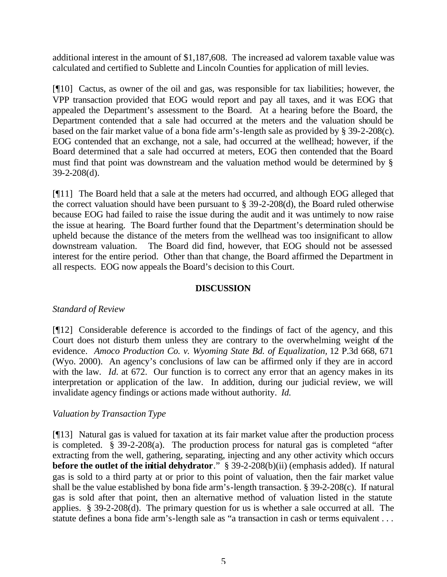additional interest in the amount of \$1,187,608. The increased ad valorem taxable value was calculated and certified to Sublette and Lincoln Counties for application of mill levies.

[¶10] Cactus, as owner of the oil and gas, was responsible for tax liabilities; however, the VPP transaction provided that EOG would report and pay all taxes, and it was EOG that appealed the Department's assessment to the Board. At a hearing before the Board, the Department contended that a sale had occurred at the meters and the valuation should be based on the fair market value of a bona fide arm's-length sale as provided by § 39-2-208(c). EOG contended that an exchange, not a sale, had occurred at the wellhead; however, if the Board determined that a sale had occurred at meters, EOG then contended that the Board must find that point was downstream and the valuation method would be determined by § 39-2-208(d).

[¶11] The Board held that a sale at the meters had occurred, and although EOG alleged that the correct valuation should have been pursuant to § 39-2-208(d), the Board ruled otherwise because EOG had failed to raise the issue during the audit and it was untimely to now raise the issue at hearing. The Board further found that the Department's determination should be upheld because the distance of the meters from the wellhead was too insignificant to allow downstream valuation. The Board did find, however, that EOG should not be assessed interest for the entire period. Other than that change, the Board affirmed the Department in all respects. EOG now appeals the Board's decision to this Court.

# **DISCUSSION**

# *Standard of Review*

[¶12] Considerable deference is accorded to the findings of fact of the agency, and this Court does not disturb them unless they are contrary to the overwhelming weight of the evidence. *Amoco Production Co. v. Wyoming State Bd. of Equalization,* 12 P.3d 668, 671 (Wyo. 2000). An agency's conclusions of law can be affirmed only if they are in accord with the law. *Id.* at 672. Our function is to correct any error that an agency makes in its interpretation or application of the law. In addition, during our judicial review, we will invalidate agency findings or actions made without authority. *Id.* 

# *Valuation by Transaction Type*

[¶13] Natural gas is valued for taxation at its fair market value after the production process is completed. § 39-2-208(a).The production process for natural gas is completed "after extracting from the well, gathering, separating, injecting and any other activity which occurs **before the outlet of the initial dehydrator**." § 39-2-208(b)(ii) (emphasis added).If natural gas is sold to a third party at or prior to this point of valuation, then the fair market value shall be the value established by bona fide arm's-length transaction. § 39-2-208(c). If natural gas is sold after that point, then an alternative method of valuation listed in the statute applies. § 39-2-208(d).The primary question for us is whether a sale occurred at all. The statute defines a bona fide arm's-length sale as "a transaction in cash or terms equivalent . . .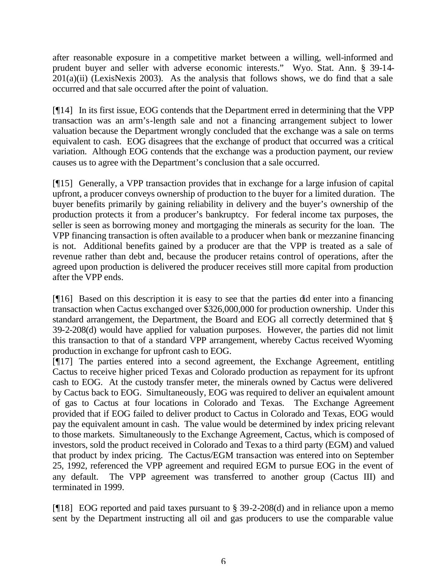after reasonable exposure in a competitive market between a willing, well-informed and prudent buyer and seller with adverse economic interests." Wyo. Stat. Ann. § 39-14-  $201(a)(ii)$  (LexisNexis 2003). As the analysis that follows shows, we do find that a sale occurred and that sale occurred after the point of valuation.

[¶14] In its first issue, EOG contends that the Department erred in determining that the VPP transaction was an arm's-length sale and not a financing arrangement subject to lower valuation because the Department wrongly concluded that the exchange was a sale on terms equivalent to cash. EOG disagrees that the exchange of product that occurred was a critical variation. Although EOG contends that the exchange was a production payment, our review causes us to agree with the Department's conclusion that a sale occurred.

[¶15] Generally, a VPP transaction provides that in exchange for a large infusion of capital upfront, a producer conveys ownership of production to the buyer for a limited duration. The buyer benefits primarily by gaining reliability in delivery and the buyer's ownership of the production protects it from a producer's bankruptcy. For federal income tax purposes, the seller is seen as borrowing money and mortgaging the minerals as security for the loan. The VPP financing transaction is often available to a producer when bank or mezzanine financing is not. Additional benefits gained by a producer are that the VPP is treated as a sale of revenue rather than debt and, because the producer retains control of operations, after the agreed upon production is delivered the producer receives still more capital from production after the VPP ends.

[¶16] Based on this description it is easy to see that the parties did enter into a financing transaction when Cactus exchanged over \$326,000,000 for production ownership. Under this standard arrangement, the Department, the Board and EOG all correctly determined that § 39-2-208(d) would have applied for valuation purposes. However, the parties did not limit this transaction to that of a standard VPP arrangement, whereby Cactus received Wyoming production in exchange for upfront cash to EOG.

[¶17] The parties entered into a second agreement, the Exchange Agreement, entitling Cactus to receive higher priced Texas and Colorado production as repayment for its upfront cash to EOG. At the custody transfer meter, the minerals owned by Cactus were delivered by Cactus back to EOG. Simultaneously, EOG was required to deliver an equivalent amount of gas to Cactus at four locations in Colorado and Texas. The Exchange Agreement provided that if EOG failed to deliver product to Cactus in Colorado and Texas, EOG would pay the equivalent amount in cash. The value would be determined by index pricing relevant to those markets. Simultaneously to the Exchange Agreement, Cactus, which is composed of investors, sold the product received in Colorado and Texas to a third party (EGM) and valued that product by index pricing. The Cactus/EGM transaction was entered into on September 25, 1992, referenced the VPP agreement and required EGM to pursue EOG in the event of any default. The VPP agreement was transferred to another group (Cactus III) and terminated in 1999.

[ $[18]$ ] EOG reported and paid taxes pursuant to § 39-2-208(d) and in reliance upon a memo sent by the Department instructing all oil and gas producers to use the comparable value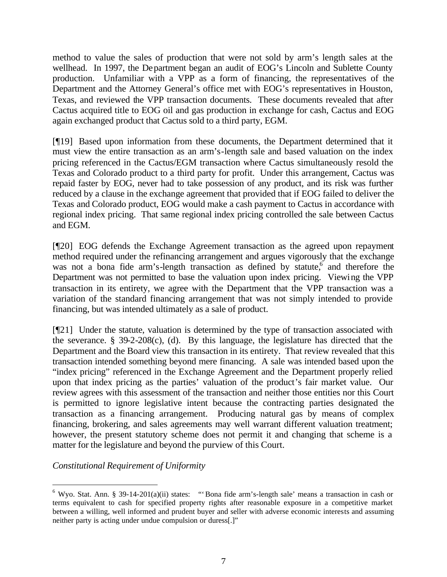method to value the sales of production that were not sold by arm's length sales at the wellhead. In 1997, the Department began an audit of EOG's Lincoln and Sublette County production. Unfamiliar with a VPP as a form of financing, the representatives of the Department and the Attorney General's office met with EOG's representatives in Houston, Texas, and reviewed the VPP transaction documents. These documents revealed that after Cactus acquired title to EOG oil and gas production in exchange for cash, Cactus and EOG again exchanged product that Cactus sold to a third party, EGM.

[¶19] Based upon information from these documents, the Department determined that it must view the entire transaction as an arm's-length sale and based valuation on the index pricing referenced in the Cactus/EGM transaction where Cactus simultaneously resold the Texas and Colorado product to a third party for profit. Under this arrangement, Cactus was repaid faster by EOG, never had to take possession of any product, and its risk was further reduced by a clause in the exchange agreement that provided that if EOG failed to deliver the Texas and Colorado product, EOG would make a cash payment to Cactus in accordance with regional index pricing. That same regional index pricing controlled the sale between Cactus and EGM.

[¶20] EOG defends the Exchange Agreement transaction as the agreed upon repayment method required under the refinancing arrangement and argues vigorously that the exchange was not a bona fide arm's-length transaction as defined by statute, and therefore the Department was not permitted to base the valuation upon index pricing. Viewing the VPP transaction in its entirety, we agree with the Department that the VPP transaction was a variation of the standard financing arrangement that was not simply intended to provide financing, but was intended ultimately as a sale of product.

[¶21] Under the statute, valuation is determined by the type of transaction associated with the severance.  $\S$  39-2-208(c), (d). By this language, the legislature has directed that the Department and the Board view this transaction in its entirety. That review revealed that this transaction intended something beyond mere financing. A sale was intended based upon the "index pricing" referenced in the Exchange Agreement and the Department properly relied upon that index pricing as the parties' valuation of the product's fair market value. Our review agrees with this assessment of the transaction and neither those entities nor this Court is permitted to ignore legislative intent because the contracting parties designated the transaction as a financing arrangement. Producing natural gas by means of complex financing, brokering, and sales agreements may well warrant different valuation treatment; however, the present statutory scheme does not permit it and changing that scheme is a matter for the legislature and beyond the purview of this Court.

*Constitutional Requirement of Uniformity*

l

<sup>&</sup>lt;sup>6</sup> Wyo. Stat. Ann. § 39-14-201(a)(ii) states: "'Bona fide arm's-length sale' means a transaction in cash or terms equivalent to cash for specified property rights after reasonable exposure in a competitive market between a willing, well informed and prudent buyer and seller with adverse economic interests and assuming neither party is acting under undue compulsion or duress[.]"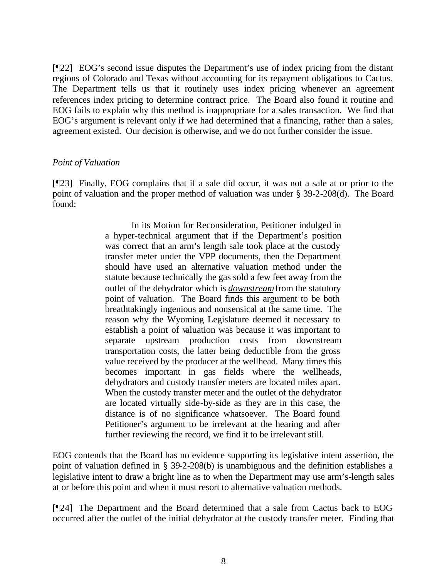[¶22] EOG's second issue disputes the Department's use of index pricing from the distant regions of Colorado and Texas without accounting for its repayment obligations to Cactus. The Department tells us that it routinely uses index pricing whenever an agreement references index pricing to determine contract price. The Board also found it routine and EOG fails to explain why this method is inappropriate for a sales transaction. We find that EOG's argument is relevant only if we had determined that a financing, rather than a sales, agreement existed. Our decision is otherwise, and we do not further consider the issue.

#### *Point of Valuation*

[¶23] Finally, EOG complains that if a sale did occur, it was not a sale at or prior to the point of valuation and the proper method of valuation was under § 39-2-208(d). The Board found:

> In its Motion for Reconsideration, Petitioner indulged in a hyper-technical argument that if the Department's position was correct that an arm's length sale took place at the custody transfer meter under the VPP documents, then the Department should have used an alternative valuation method under the statute because technically the gas sold a few feet away from the outlet of the dehydrator which is *downstream* from the statutory point of valuation. The Board finds this argument to be both breathtakingly ingenious and nonsensical at the same time. The reason why the Wyoming Legislature deemed it necessary to establish a point of valuation was because it was important to separate upstream production costs from downstream transportation costs, the latter being deductible from the gross value received by the producer at the wellhead. Many times this becomes important in gas fields where the wellheads, dehydrators and custody transfer meters are located miles apart. When the custody transfer meter and the outlet of the dehydrator are located virtually side-by-side as they are in this case, the distance is of no significance whatsoever. The Board found Petitioner's argument to be irrelevant at the hearing and after further reviewing the record, we find it to be irrelevant still.

EOG contends that the Board has no evidence supporting its legislative intent assertion, the point of valuation defined in § 39-2-208(b) is unambiguous and the definition establishes a legislative intent to draw a bright line as to when the Department may use arm's-length sales at or before this point and when it must resort to alternative valuation methods.

[¶24] The Department and the Board determined that a sale from Cactus back to EOG occurred after the outlet of the initial dehydrator at the custody transfer meter. Finding that